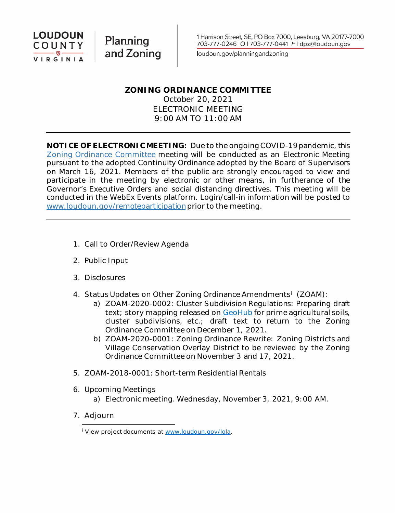

Planning and Zoning

loudoun.gov/planningandzoning

# **ZONING ORDINANCE COMMITTEE**

October 20, 2021 ELECTRONIC MEETING 9:00 AM TO 11:00 AM

**NOTICE OF ELECTRONIC MEETING:** Due to the ongoing COVID-19 pandemic, this [Zoning Ordinance Committee](https://www.loudoun.gov/2898/Zoning-Ordinance-Committee) meeting will be conducted as an Electronic Meeting pursuant to the adopted Continuity Ordinance adopted by the Board of Supervisors on March 16, 2021. Members of the public are strongly encouraged to view and participate in the meeting by electronic or other means, in furtherance of the Governor's Executive Orders and social distancing directives. This meeting will be conducted in the WebEx Events platform. Login/call-in information will be posted to [www.loudoun.gov/remoteparticipation](https://www.loudoun.gov/remoteparticipation) prior to the meeting.

- 1. Call to Order/Review Agenda
- 2. Public Input
- 3. Disclosures
- 4. Status Updates on Other Zoning Ordinance Amendments[i](#page-0-0) (ZOAM):
	- a) ZOAM-2020-0002: Cluster Subdivision Regulations: Preparing draft text; story mapping released on [GeoHub](https://geohub-loudoungis.opendata.arcgis.com/) for prime agricultural soils, cluster subdivisions, etc.; draft text to return to the Zoning Ordinance Committee on December 1, 2021.
	- b) ZOAM-2020-0001: Zoning Ordinance Rewrite: Zoning Districts and Village Conservation Overlay District to be reviewed by the Zoning Ordinance Committee on November 3 and 17, 2021.
- 5. ZOAM-2018-0001: Short-term Residential Rentals
- 6. Upcoming Meetings
	- a) Electronic meeting. Wednesday, November 3, 2021, 9:00 AM.
- <span id="page-0-0"></span>7. Adjourn

<sup>&</sup>lt;sup>i</sup> View project documents at [www.loudoun.gov/lola.](http://www.loudoun.gov/lola)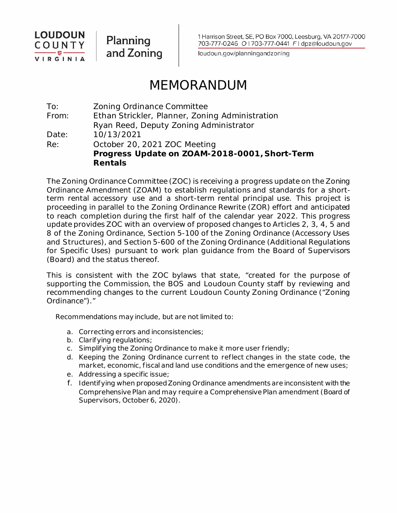

Planning and Zoning 1 Harrison Street, SE, PO Box 7000, Leesburg, VA 20177-7000 703-777-0246 O | 703-777-0441 F | dpz@loudoun.gov

loudoun.gov/planningandzoning

# MEMORANDUM

To: Zoning Ordinance Committee From: Ethan Strickler, Planner, Zoning Administration Ryan Reed, Deputy Zoning Administrator Date: 10/13/2021 Re: October 20, 2021 ZOC Meeting **Progress Update on ZOAM-2018-0001, Short-Term Rentals**

The Zoning Ordinance Committee (ZOC) is receiving a progress update on the Zoning Ordinance Amendment (ZOAM) to establish regulations and standards for a shortterm rental accessory use and a short-term rental principal use. This project is proceeding in parallel to the Zoning Ordinance Rewrite (ZOR) effort and anticipated to reach completion during the first half of the calendar year 2022. This progress update provides ZOC with an overview of proposed changes to Articles 2, 3, 4, 5 and 8 of the Zoning Ordinance, Section 5-100 of the Zoning Ordinance (Accessory Uses and Structures), and Section 5-600 of the Zoning Ordinance (Additional Regulations for Specific Uses) pursuant to work plan guidance from the Board of Supervisors (Board) and the status thereof.

This is consistent with the ZOC bylaws that state, "created for the purpose of supporting the Commission, the BOS and Loudoun County staff by reviewing and recommending changes to the current Loudoun County Zoning Ordinance ("Zoning Ordinance")."

Recommendations may include, but are not limited to:

- a. Correcting errors and inconsistencies;
- b. Clarifying regulations;
- c. Simplif ying the Zoning Ordinance to make it more user friendly;
- d. Keeping the Zoning Ordinance current to reflect changes in the state code, the market, economic, fiscal and land use conditions and the emergence of new uses;
- e. Addressing a specific issue;
- f. Identifying when proposed Zoning Ordinance amendments are inconsistent with the Comprehensive Plan and may require a Comprehensive Plan amendment (Board of Supervisors, October 6, 2020).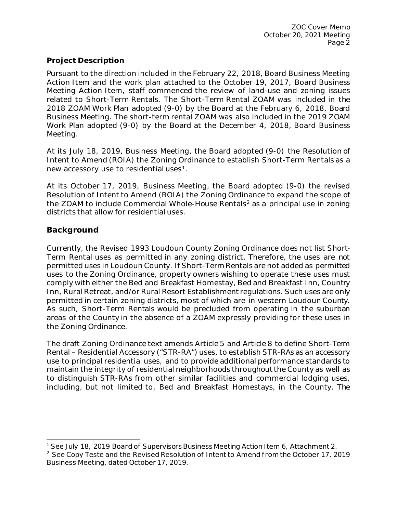### **Project Description**

Pursuant to the direction included in the February 22, 2018, Board Business Meeting Action Item and the work plan attached to the October 19, 2017, Board Business Meeting Action Item, staff commenced the review of land-use and zoning issues related to Short-Term Rentals. The Short-Term Rental ZOAM was included in the 2018 ZOAM Work Plan adopted (9-0) by the Board at the February 6, 2018, Board Business Meeting. The short-term rental ZOAM was also included in the 2019 ZOAM Work Plan adopted (9-0) by the Board at the December 4, 2018, Board Business Meeting.

At its July 18, 2019, Business Meeting, the Board adopted (9-0) the Resolution of Intent to Amend (ROIA) the Zoning Ordinance to establish Short-Term Rentals as a new accessory use to residential uses<sup>[1](#page-2-0)</sup>.

At its October 17, 2019, Business Meeting, the Board adopted (9-0) the revised Resolution of Intent to Amend (ROIA) the Zoning Ordinance to expand the scope of the ZOAM to include Commercial Whole-House Rentals<sup>[2](#page-2-1)</sup> as a principal use in zoning districts that allow for residential uses.

## **Background**

Currently, the Revised 1993 Loudoun County Zoning Ordinance does not list Short-Term Rental uses as permitted in any zoning district. Therefore, the uses are not permitted uses in Loudoun County. If Short-Term Rentals are not added as permitted uses to the Zoning Ordinance, property owners wishing to operate these uses must comply with either the Bed and Breakfast Homestay, Bed and Breakfast Inn, Country Inn, Rural Retreat, and/or Rural Resort Establishment regulations. Such uses are only permitted in certain zoning districts, most of which are in western Loudoun County. As such, Short-Term Rentals would be precluded from operating in the suburban areas of the County in the absence of a ZOAM expressly providing for these uses in the Zoning Ordinance.

The draft Zoning Ordinance text amends Article 5 and Article 8 to define Short-Term Rental – Residential Accessory ("STR-RA") uses, to establish STR-RAs as an accessory use to principal residential uses, and to provide additional performance standards to maintain the integrity of residential neighborhoods throughout the County as well as to distinguish STR-RAs from other similar facilities and commercial lodging uses, including, but not limited to, Bed and Breakfast Homestays, in the County. The

<span id="page-2-0"></span><sup>1</sup> See July 18, 2019 Board of Supervisors Business Meeting Action Item 6, Attachment 2.

<span id="page-2-1"></span><sup>&</sup>lt;sup>2</sup> See Copy Teste and the Revised Resolution of Intent to Amend from the October 17, 2019 Business Meeting, dated October 17, 2019.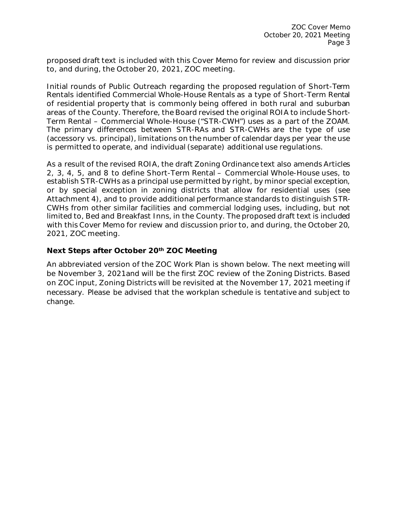proposed draft text is included with this Cover Memo for review and discussion prior to, and during, the October 20, 2021, ZOC meeting.

Initial rounds of Public Outreach regarding the proposed regulation of Short-Term Rentals identified Commercial Whole-House Rentals as a type of Short-Term Rental of residential property that is commonly being offered in both rural and suburban areas of the County. Therefore, the Board revised the original ROIA to include Short-Term Rental – Commercial Whole-House ("STR-CWH") uses as a part of the ZOAM. The primary differences between STR-RAs and STR-CWHs are the type of use (accessory vs. principal), limitations on the number of calendar days per year the use is permitted to operate, and individual (separate) additional use regulations.

As a result of the revised ROIA, the draft Zoning Ordinance text also amends Articles 2, 3, 4, 5, and 8 to define Short-Term Rental – Commercial Whole-House uses, to establish STR-CWHs as a principal use permitted by right, by minor special exception, or by special exception in zoning districts that allow for residential uses (see Attachment 4), and to provide additional performance standards to distinguish STR-CWHs from other similar facilities and commercial lodging uses, including, but not limited to, Bed and Breakfast Inns, in the County. The proposed draft text is included with this Cover Memo for review and discussion prior to, and during, the October 20, 2021, ZOC meeting.

## **Next Steps after October 20th ZOC Meeting**

An abbreviated version of the ZOC Work Plan is shown below. The next meeting will be November 3, 2021and will be the first ZOC review of the Zoning Districts. Based on ZOC input, Zoning Districts will be revisited at the November 17, 2021 meeting if necessary. Please be advised that the workplan schedule is tentative and subject to change.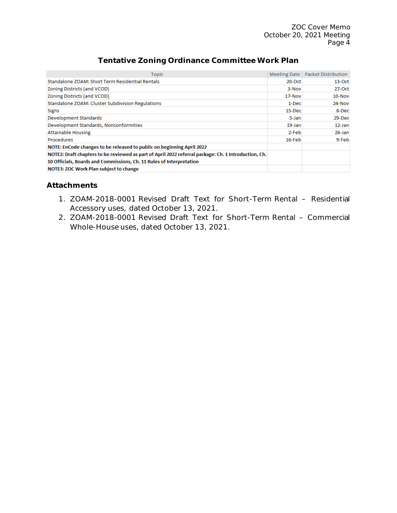ZOC Cover Memo October 20, 2021 Meeting Page 4

| Topic                                                                                                | <b>Meeting Date</b> | <b>Packet Distribution</b> |
|------------------------------------------------------------------------------------------------------|---------------------|----------------------------|
| Standalone ZOAM: Short Term Residential Rentals                                                      | $20$ -Oct           | $13-Oct$                   |
| Zoning Districts (and VCOD)                                                                          | 3-Nov               | $27-Oct$                   |
| Zoning Districts (and VCOD)                                                                          | 17-Nov              | $10 - N$ ov                |
| Standalone ZOAM: Cluster Subdivision Regulations                                                     | $1-Dec$             | 24-Nov                     |
| <b>Signs</b>                                                                                         | $15$ -Dec           | 8-Dec                      |
| Development Standards                                                                                | 5-Jan               | 29-Dec                     |
| Development Standards, Nonconformities                                                               | $19 - Jan$          | $12$ -Jan                  |
| <b>Attainable Housing</b>                                                                            | 2-Feb               | 26-Jan                     |
| <b>Procedures</b>                                                                                    | $16$ -Feb           | 9-Feb                      |
| NOTE: EnCode changes to be released to public on beginning April 2022                                |                     |                            |
| NOTE2: Draft chapters to be reviewed as part of April 2022 referral package: Ch. 1 Introduction, Ch. |                     |                            |
| 10 Officials, Boards and Commissions, Ch. 11 Rules of Interpretation                                 |                     |                            |
| <b>NOTE3: ZOC Work Plan subject to change</b>                                                        |                     |                            |

# **Tentative Zoning Ordinance Committee Work Plan**

### **Attachments**

- 1. ZOAM-2018-0001 Revised Draft Text for Short-Term Rental Residential Accessory uses, dated October 13, 2021.
- 2. ZOAM-2018-0001 Revised Draft Text for Short-Term Rental Commercial Whole-House uses, dated October 13, 2021.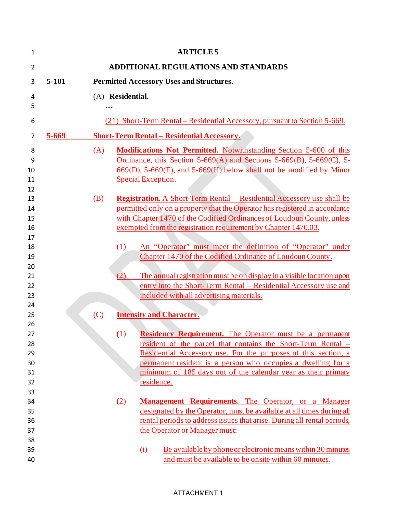| $\mathbf{1}$   |                                                            |     | <b>ARTICLE 5</b>                                                               |  |  |
|----------------|------------------------------------------------------------|-----|--------------------------------------------------------------------------------|--|--|
| $\overline{2}$ |                                                            |     | ADDITIONAL REGULATIONS AND STANDARDS                                           |  |  |
| 3              | $5-101$<br><b>Permitted Accessory Uses and Structures.</b> |     |                                                                                |  |  |
| 4              | (A) Residential.                                           |     |                                                                                |  |  |
| 5              |                                                            |     |                                                                                |  |  |
| 6              |                                                            |     | (21) Short-Term Rental – Residential Accessory, pursuant to Section 5-669.     |  |  |
| 7              | $5 - 669$                                                  |     | <b>Short-Term Rental – Residential Accessory.</b>                              |  |  |
| 8              | (A)                                                        |     | <b>Modifications Not Permitted.</b> Notwithstanding Section 5-600 of this      |  |  |
| 9              |                                                            |     | Ordinance, this Section $5-669(A)$ and Sections $5-669(B)$ , $5-669(C)$ , $5-$ |  |  |
| 10             |                                                            |     | $669(D)$ , 5-669 $(E)$ , and 5-669 $(H)$ below shall not be modified by Minor  |  |  |
| 11             |                                                            |     | Special Exception.                                                             |  |  |
| 12             |                                                            |     |                                                                                |  |  |
| 13             | (B)                                                        |     | <b>Registration.</b> A Short-Term Rental – Residential Accessory use shall be  |  |  |
| 14             |                                                            |     | permitted only on a property that the Operator has registered in accordance    |  |  |
| 15             |                                                            |     | with Chapter 1470 of the Codified Ordinances of Loudoun County, unless         |  |  |
| 16             |                                                            |     | exempted from the registration requirement by Chapter 1470.03.                 |  |  |
| 17             |                                                            |     |                                                                                |  |  |
| 18             |                                                            | (1) | An "Operator" must meet the definition of "Operator" under                     |  |  |
| 19             |                                                            |     | Chapter 1470 of the Codified Ordinance of Loudoun County.                      |  |  |
| 20             |                                                            |     |                                                                                |  |  |
| 21             |                                                            | (2) | The annual registration must be on display in a visible location upon          |  |  |
| 22             |                                                            |     | entry into the Short-Term Rental – Residential Accessory use and               |  |  |
| 23             |                                                            |     | included with all advertising materials.                                       |  |  |
| 24             |                                                            |     |                                                                                |  |  |
| 25             | (C)                                                        |     | <b>Intensity and Character.</b>                                                |  |  |
| 26             |                                                            |     |                                                                                |  |  |
| 27             |                                                            | (1) | <b>Residency Requirement.</b> The Operator must be a permanent                 |  |  |
| 28             |                                                            |     | resident of the parcel that contains the Short-Term Rental –                   |  |  |
| 29             |                                                            |     | Residential Accessory use. For the purposes of this section, a                 |  |  |
| 30             |                                                            |     | permanent resident is a person who occupies a dwelling for a                   |  |  |
| 31             |                                                            |     | minimum of 185 days out of the calendar year as their primary                  |  |  |
| 32<br>33       |                                                            |     | residence.                                                                     |  |  |
| 34             |                                                            | (2) | <b>Management Requirements.</b> The Operator, or a Manager                     |  |  |
| 35             |                                                            |     | designated by the Operator, must be available at all times during all          |  |  |
| 36             |                                                            |     | rental periods to address issues that arise. During all rental periods,        |  |  |
| 37             |                                                            |     | the Operator or Manager must:                                                  |  |  |
| 38             |                                                            |     |                                                                                |  |  |
| 39             |                                                            |     | Be available by phone or electronic means within 30 minutes<br>(i)             |  |  |
| 40             |                                                            |     | and must be available to be onsite within 60 minutes.                          |  |  |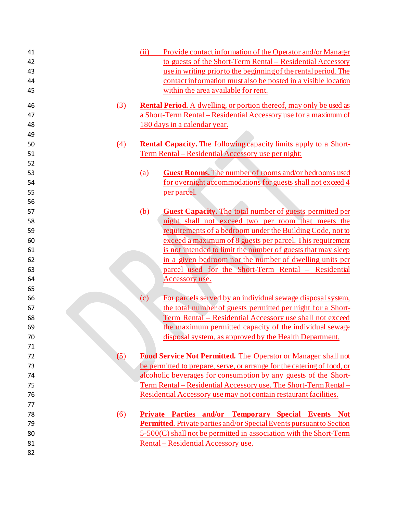| 41 |     | (ii)<br>Provide contact information of the Operator and/or Manager               |
|----|-----|----------------------------------------------------------------------------------|
| 42 |     | to guests of the Short-Term Rental – Residential Accessory                       |
| 43 |     | use in writing prior to the beginning of the rental period. The                  |
| 44 |     | contact information must also be posted in a visible location                    |
| 45 |     | within the area available for rent.                                              |
| 46 | (3) | <b>Rental Period.</b> A dwelling, or portion thereof, may only be used as        |
| 47 |     | a Short-Term Rental - Residential Accessory use for a maximum of                 |
| 48 |     | 180 days in a calendar year.                                                     |
| 49 |     |                                                                                  |
| 50 | (4) | <b>Rental Capacity.</b> The following capacity limits apply to a Short-          |
| 51 |     | <u>Term Rental – Residential Accessory use per night:</u>                        |
| 52 |     |                                                                                  |
| 53 |     | Guest Rooms. The number of rooms and/or bedrooms used<br>(a)                     |
| 54 |     | for overnight accommodations for guests shall not exceed 4                       |
| 55 |     | per parcel.                                                                      |
| 56 |     |                                                                                  |
| 57 |     | <b>Guest Capacity.</b> The total number of guests permitted per<br>(b)           |
| 58 |     | night shall not exceed two per room that meets the                               |
| 59 |     | requirements of a bedroom under the Building Code, not to                        |
| 60 |     | exceed a maximum of 8 guests per parcel. This requirement                        |
| 61 |     | is not intended to limit the number of guests that may sleep                     |
| 62 |     | in a given bedroom nor the number of dwelling units per                          |
| 63 |     | parcel used for the Short-Term Rental - Residential                              |
| 64 |     | Accessory use.                                                                   |
| 65 |     |                                                                                  |
| 66 |     | $\left( c\right)$<br>For parcels served by an individual sewage disposal system, |
| 67 |     | the total number of guests permitted per night for a Short-                      |
| 68 |     | Term Rental – Residential Accessory use shall not exceed                         |
| 69 |     | the maximum permitted capacity of the individual sewage                          |
| 70 |     | disposal system, as approved by the Health Department.                           |
| 71 |     |                                                                                  |
| 72 | (5) | Food Service Not Permitted. The Operator or Manager shall not                    |
| 73 |     | be permitted to prepare, serve, or arrange for the catering of food, or          |
| 74 |     | alcoholic beverages for consumption by any guests of the Short-                  |
| 75 |     | Term Rental – Residential Accessory use. The Short-Term Rental –                 |
| 76 |     | Residential Accessory use may not contain restaurant facilities.                 |
| 77 |     |                                                                                  |
| 78 | (6) | Private Parties and/or Temporary Special Events Not                              |
| 79 |     | <b>Permitted.</b> Private parties and/or Special Events pursuant to Section      |
| 80 |     | 5-500(C) shall not be permitted in association with the Short-Term               |
| 81 |     | Rental - Residential Accessory use.                                              |
| 82 |     |                                                                                  |
|    |     |                                                                                  |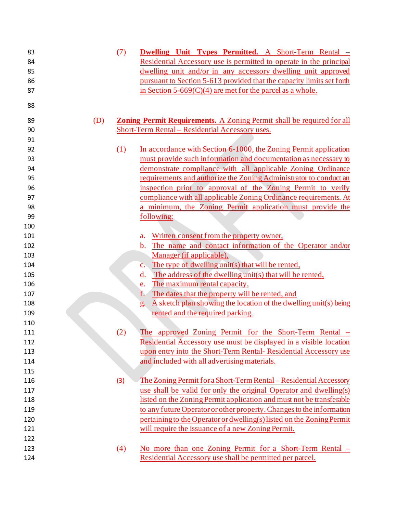| 83  | (7) | <b>Dwelling Unit Types Permitted.</b> A Short-Term Rental -                  |
|-----|-----|------------------------------------------------------------------------------|
| 84  |     | Residential Accessory use is permitted to operate in the principal           |
| 85  |     | dwelling unit and/or in any accessory dwelling unit approved                 |
| 86  |     | pursuant to Section 5-613 provided that the capacity limits set forth        |
| 87  |     | in Section $5-669(C)(4)$ are met for the parcel as a whole.                  |
| 88  |     |                                                                              |
| 89  | (D) | <b>Zoning Permit Requirements.</b> A Zoning Permit shall be required for all |
| 90  |     | Short-Term Rental - Residential Accessory uses.                              |
| 91  |     |                                                                              |
| 92  | (1) | In accordance with Section 6-1000, the Zoning Permit application             |
| 93  |     | must provide such information and documentation as necessary to              |
| 94  |     | demonstrate compliance with all applicable Zoning Ordinance                  |
| 95  |     | requirements and authorize the Zoning Administrator to conduct an            |
| 96  |     | inspection prior to approval of the Zoning Permit to verify                  |
| 97  |     | compliance with all applicable Zoning Ordinance requirements. At             |
| 98  |     | a minimum, the Zoning Permit application must provide the                    |
| 99  |     | following:                                                                   |
| 100 |     |                                                                              |
| 101 |     | Written consent from the property owner,<br>a.                               |
| 102 |     | The name and contact information of the Operator and/or<br>$\mathbf{b}$ .    |
| 103 |     | Manager (if applicable),                                                     |
| 104 |     | The type of dwelling unit(s) that will be rented,<br>$\mathbf{c}$ .          |
| 105 |     | The address of the dwelling unit(s) that will be rented,<br>d.               |
| 106 |     | The maximum rental capacity,<br>e.                                           |
| 107 |     | The dates that the property will be rented, and<br>f.                        |
| 108 |     | A sketch plan showing the location of the dwelling unit(s) being<br>g.       |
| 109 |     | rented and the required parking.                                             |
| 110 |     |                                                                              |
| 111 | (2) | The approved Zoning Permit for the Short-Term Rental –                       |
| 112 |     | Residential Accessory use must be displayed in a visible location            |
| 113 |     | upon entry into the Short-Term Rental-Residential Accessory use              |
| 114 |     | and included with all advertising materials.                                 |
| 115 |     |                                                                              |
| 116 | (3) | The Zoning Permit for a Short-Term Rental – Residential Accessory            |
| 117 |     | use shall be valid for only the original Operator and dwelling(s)            |
| 118 |     | listed on the Zoning Permit application and must not be transferable         |
| 119 |     | to any future Operator or other property. Changes to the information         |
| 120 |     | pertaining to the Operator or dwelling(s) listed on the Zoning Permit        |
| 121 |     | will require the issuance of a new Zoning Permit.                            |
| 122 |     |                                                                              |
| 123 | (4) | No more than one Zoning Permit for a Short-Term Rental -                     |
| 124 |     | Residential Accessory use shall be permitted per parcel.                     |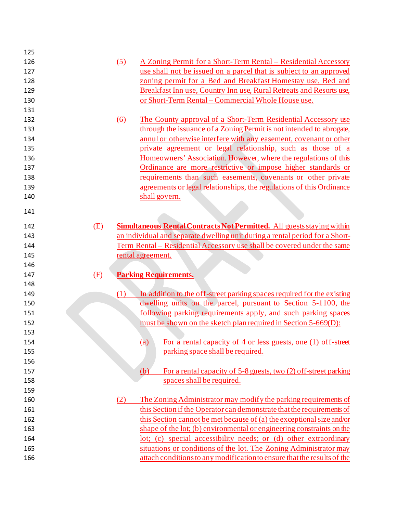| 125 |     |     |                                                                               |
|-----|-----|-----|-------------------------------------------------------------------------------|
| 126 |     | (5) | <u>A Zoning Permit for a Short-Term Rental – Residential Accessory</u>        |
| 127 |     |     | use shall not be issued on a parcel that is subject to an approved            |
| 128 |     |     | zoning permit for a Bed and Breakfast Homestay use, Bed and                   |
| 129 |     |     | Breakfast Inn use, Country Inn use, Rural Retreats and Resorts use,           |
| 130 |     |     | or Short-Term Rental - Commercial Whole House use.                            |
| 131 |     |     |                                                                               |
| 132 |     | (6) | The County approval of a Short-Term Residential Accessory use                 |
| 133 |     |     | through the issuance of a Zoning Permit is not intended to abrogate,          |
| 134 |     |     | annul or otherwise interfere with any easement, covenant or other             |
| 135 |     |     | private agreement or legal relationship, such as those of a                   |
| 136 |     |     | Homeowners' Association. However, where the regulations of this               |
| 137 |     |     | Ordinance are more restrictive or impose higher standards or                  |
| 138 |     |     | requirements than such easements, covenants or other private                  |
| 139 |     |     | agreements or legal relationships, the regulations of this Ordinance          |
| 140 |     |     | shall govern.                                                                 |
| 141 |     |     |                                                                               |
| 142 | (E) |     | <b>Simultaneous Rental Contracts Not Permitted.</b> All guests staying within |
| 143 |     |     | an individual and separate dwelling unit during a rental period for a Short-  |
| 144 |     |     | Term Rental - Residential Accessory use shall be covered under the same       |
| 145 |     |     | rental agreement.                                                             |
| 146 |     |     |                                                                               |
| 147 | (F) |     | <b>Parking Requirements.</b>                                                  |
| 148 |     |     |                                                                               |
| 149 |     | (1) | In addition to the off-street parking spaces required for the existing        |
| 150 |     |     | dwelling units on the parcel, pursuant to Section 5-1100, the                 |
| 151 |     |     | following parking requirements apply, and such parking spaces                 |
| 152 |     |     | must be shown on the sketch plan required in Section 5-669(D):                |
| 153 |     |     |                                                                               |
| 154 |     |     | For a rental capacity of 4 or less guests, one (1) off-street<br>(a)          |
| 155 |     |     | parking space shall be required.                                              |
| 156 |     |     |                                                                               |
| 157 |     |     | For a rental capacity of 5-8 guests, two (2) off-street parking<br>(b)        |
| 158 |     |     | spaces shall be required.                                                     |
| 159 |     |     |                                                                               |
| 160 |     | (2) | The Zoning Administrator may modify the parking requirements of               |
| 161 |     |     | this Section if the Operator can demonstrate that the requirements of         |
| 162 |     |     | this Section cannot be met because of (a) the exceptional size and/or         |
| 163 |     |     | shape of the lot; (b) environmental or engineering constraints on the         |
| 164 |     |     | lot; (c) special accessibility needs; or (d) other extraordinary              |
| 165 |     |     | situations or conditions of the lot. The Zoning Administrator may             |
|     |     |     |                                                                               |
| 166 |     |     | attach conditions to any modification to ensure that the results of the       |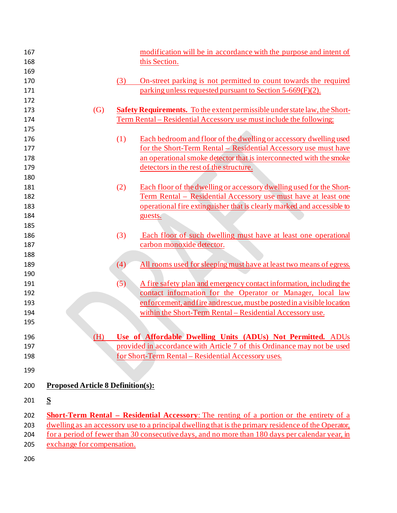| 167 |                                          |     | modification will be in accordance with the purpose and intent of                                   |
|-----|------------------------------------------|-----|-----------------------------------------------------------------------------------------------------|
| 168 |                                          |     | this Section.                                                                                       |
| 169 |                                          |     |                                                                                                     |
| 170 |                                          | (3) | On-street parking is not permitted to count towards the required                                    |
| 171 |                                          |     | parking unless requested pursuant to Section 5-669(F)(2).                                           |
| 172 |                                          |     |                                                                                                     |
| 173 | $\left( G\right)$                        |     | <b>Safety Requirements.</b> To the extent permissible under state law, the Short-                   |
| 174 |                                          |     | Term Rental – Residential Accessory use must include the following:                                 |
| 175 |                                          |     |                                                                                                     |
| 176 |                                          | (1) | Each bedroom and floor of the dwelling or accessory dwelling used                                   |
| 177 |                                          |     | for the Short-Term Rental - Residential Accessory use must have                                     |
| 178 |                                          |     | an operational smoke detector that is interconnected with the smoke                                 |
| 179 |                                          |     | detectors in the rest of the structure.                                                             |
| 180 |                                          |     |                                                                                                     |
| 181 |                                          | (2) | Each floor of the dwelling or accessory dwelling used for the Short-                                |
| 182 |                                          |     | Term Rental - Residential Accessory use must have at least one                                      |
| 183 |                                          |     | operational fire extinguisher that is clearly marked and accessible to                              |
| 184 |                                          |     | guests.                                                                                             |
| 185 |                                          |     |                                                                                                     |
| 186 |                                          | (3) | Each floor of such dwelling must have at least one operational                                      |
| 187 |                                          |     | carbon monoxide detector.                                                                           |
| 188 |                                          |     |                                                                                                     |
| 189 |                                          | (4) | All rooms used for sleeping must have at least two means of egress.                                 |
| 190 |                                          |     |                                                                                                     |
| 191 |                                          | (5) | A fire safety plan and emergency contact information, including the                                 |
| 192 |                                          |     | contact information for the Operator or Manager, local law                                          |
| 193 |                                          |     | enforcement, and fire and rescue, must be posted in a visible location                              |
| 194 |                                          |     | within the Short-Term Rental – Residential Accessory use.                                           |
| 195 |                                          |     |                                                                                                     |
| 196 | (H)                                      |     | Use of Affordable Dwelling Units (ADUs) Not Permitted. ADUs                                         |
| 197 |                                          |     | provided in accordance with Article 7 of this Ordinance may not be used                             |
| 198 |                                          |     | for Short-Term Rental - Residential Accessory uses.                                                 |
| 199 |                                          |     |                                                                                                     |
| 200 | <b>Proposed Article 8 Definition(s):</b> |     |                                                                                                     |
| 201 | S                                        |     |                                                                                                     |
| 202 |                                          |     | <b>Short-Term Rental – Residential Accessory:</b> The renting of a portion or the entirety of a     |
| 203 |                                          |     | dwelling as an accessory use to a principal dwelling that is the primary residence of the Operator, |
| 204 |                                          |     | for a period of fewer than 30 consecutive days, and no more than 180 days per calendar year, in     |
| 205 | exchange for compensation.               |     |                                                                                                     |
|     |                                          |     |                                                                                                     |
| 206 |                                          |     |                                                                                                     |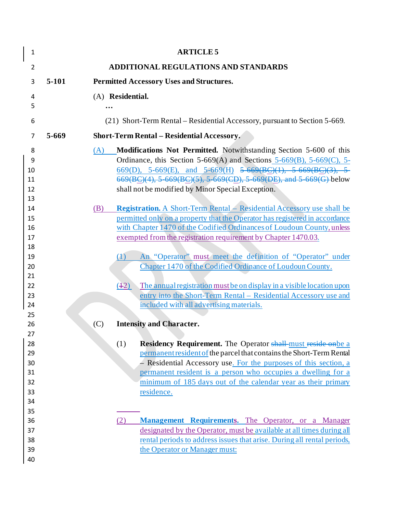| $\mathbf{1}$                   |         |     | <b>ARTICLE 5</b>                                                                                                                                                                                                                                                                                                                          |
|--------------------------------|---------|-----|-------------------------------------------------------------------------------------------------------------------------------------------------------------------------------------------------------------------------------------------------------------------------------------------------------------------------------------------|
| $\overline{2}$                 |         |     | ADDITIONAL REGULATIONS AND STANDARDS                                                                                                                                                                                                                                                                                                      |
| 3                              | $5-101$ |     | <b>Permitted Accessory Uses and Structures.</b>                                                                                                                                                                                                                                                                                           |
| 4                              |         |     | (A) Residential.                                                                                                                                                                                                                                                                                                                          |
| 5                              |         |     |                                                                                                                                                                                                                                                                                                                                           |
| 6                              |         |     | (21) Short-Term Rental – Residential Accessory, pursuant to Section 5-669.                                                                                                                                                                                                                                                                |
| 7                              | 5-669   |     | <b>Short-Term Rental - Residential Accessory.</b>                                                                                                                                                                                                                                                                                         |
| 8<br>9<br>10<br>11<br>12<br>13 |         | (A) | Modifications Not Permitted. Notwithstanding Section 5-600 of this<br>Ordinance, this Section 5-669(A) and Sections 5-669(B), 5-669(C), 5-<br>$669(D)$ , 5-669(E), and 5-669(H) 5-669(BC)(1), 5-669(BC)(3), 5-<br>669(BC)(4), 5 669(BC)(5), 5 669(CD), 5 669(DE), and 5 669(G) below<br>shall not be modified by Minor Special Exception. |
| 14<br>15<br>16<br>17<br>18     |         | (B) | Registration. A Short-Term Rental - Residential Accessory use shall be<br>permitted only on a property that the Operator has registered in accordance<br>with Chapter 1470 of the Codified Ordinances of Loudoun County, unless<br>exempted from the registration requirement by Chapter 1470.03.                                         |
| 19<br>20<br>21                 |         |     | An "Operator" must meet the definition of "Operator" under<br>(1)<br>Chapter 1470 of the Codified Ordinance of Loudoun County.                                                                                                                                                                                                            |
| 22<br>23<br>24                 |         |     | (42)<br>The annual registration must be on display in a visible location upon<br>entry into the Short-Term Rental – Residential Accessory use and<br>included with all advertising materials.                                                                                                                                             |
| 25                             |         |     |                                                                                                                                                                                                                                                                                                                                           |
| 26<br>27                       |         | (C) | <b>Intensity and Character.</b>                                                                                                                                                                                                                                                                                                           |
| 28<br>29                       |         |     | (1)<br><b>Residency Requirement.</b> The Operator shall-must reside onbe a<br>permanent resident of the parcel that contains the Short-Term Rental                                                                                                                                                                                        |
| 30                             |         |     | - Residential Accessory use. For the purposes of this section, a                                                                                                                                                                                                                                                                          |
| 31<br>32                       |         |     | permanent resident is a person who occupies a dwelling for a<br>minimum of 185 days out of the calendar year as their primary                                                                                                                                                                                                             |
| 33                             |         |     | residence.                                                                                                                                                                                                                                                                                                                                |
| 34                             |         |     |                                                                                                                                                                                                                                                                                                                                           |
| 35                             |         |     |                                                                                                                                                                                                                                                                                                                                           |
| 36                             |         |     | Management Requirements. The Operator, or a Manager<br>(2)                                                                                                                                                                                                                                                                                |
| 37                             |         |     | designated by the Operator, must be available at all times during all                                                                                                                                                                                                                                                                     |
| 38<br>39                       |         |     | rental periods to address issues that arise. During all rental periods,                                                                                                                                                                                                                                                                   |
| 40                             |         |     | the Operator or Manager must:                                                                                                                                                                                                                                                                                                             |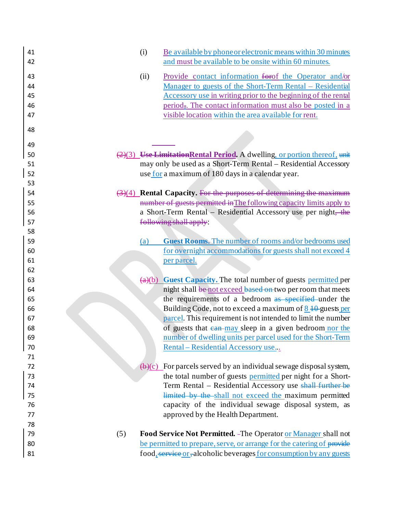| 41<br>42                   | (i)             | Be available by phone or electronic means within 30 minutes<br>and must be available to be onsite within 60 minutes.                                                                                                                                                                                        |
|----------------------------|-----------------|-------------------------------------------------------------------------------------------------------------------------------------------------------------------------------------------------------------------------------------------------------------------------------------------------------------|
| 43<br>44<br>45<br>46<br>47 | (ii)            | Provide contact information for the Operator and/or<br>Manager to guests of the Short-Term Rental - Residential<br><u>Accessory use in writing prior to the beginning of the rental</u><br>period, The contact information must also be posted in a<br>visible location within the area available for rent. |
| 48                         |                 |                                                                                                                                                                                                                                                                                                             |
| 49                         |                 |                                                                                                                                                                                                                                                                                                             |
| 50                         |                 | (2)(3) Use Limitation Rental Period. A dwelling, or portion thereof, unit                                                                                                                                                                                                                                   |
| 51                         |                 | may only be used as a Short-Term Rental - Residential Accessory                                                                                                                                                                                                                                             |
| 52                         |                 | use for a maximum of 180 days in a calendar year.                                                                                                                                                                                                                                                           |
| 53                         |                 |                                                                                                                                                                                                                                                                                                             |
| 54                         |                 | $\left(\frac{3}{4}\right)$ Rental Capacity. For the purposes of determining the maximum                                                                                                                                                                                                                     |
| 55<br>56                   |                 | number of guests permitted in The following capacity limits apply to<br>a Short-Term Rental - Residential Accessory use per night, the                                                                                                                                                                      |
| 57                         |                 | following shall apply:                                                                                                                                                                                                                                                                                      |
| 58                         |                 |                                                                                                                                                                                                                                                                                                             |
| 59                         | (a)             | <b>Guest Rooms.</b> The number of rooms and/or bedrooms used                                                                                                                                                                                                                                                |
| 60                         |                 | for overnight accommodations for guests shall not exceed 4                                                                                                                                                                                                                                                  |
| 61                         |                 | per parcel.                                                                                                                                                                                                                                                                                                 |
| 62                         |                 |                                                                                                                                                                                                                                                                                                             |
| 63                         |                 | (a)(b) Guest Capacity. The total number of guests permitted per                                                                                                                                                                                                                                             |
| 64                         |                 | night shall be not exceed based on two per room that meets                                                                                                                                                                                                                                                  |
| 65                         |                 | the requirements of a bedroom as specified under the                                                                                                                                                                                                                                                        |
| 66                         |                 | Building Code, not to exceed a maximum of $8\overline{10}$ -guests per                                                                                                                                                                                                                                      |
| 67                         |                 | parcel. This requirement is not intended to limit the number                                                                                                                                                                                                                                                |
| 68                         |                 | of guests that ean-may sleep in a given bedroom nor the                                                                                                                                                                                                                                                     |
| 69                         |                 | number of dwelling units per parcel used for the Short-Term                                                                                                                                                                                                                                                 |
| 70<br>71                   |                 | Rental – Residential Accessory use                                                                                                                                                                                                                                                                          |
| 72                         | $\bigoplus$ (c) | For parcels served by an individual sewage disposal system,                                                                                                                                                                                                                                                 |
| 73                         |                 | the total number of guests permitted per night for a Short-                                                                                                                                                                                                                                                 |
| 74                         |                 | Term Rental – Residential Accessory use shall further be                                                                                                                                                                                                                                                    |
| 75                         |                 | limited by the shall not exceed the maximum permitted                                                                                                                                                                                                                                                       |
| 76                         |                 | capacity of the individual sewage disposal system, as                                                                                                                                                                                                                                                       |
| 77                         |                 | approved by the Health Department.                                                                                                                                                                                                                                                                          |
| 78                         |                 |                                                                                                                                                                                                                                                                                                             |
| 79<br>(5)                  |                 | Food Service Not Permitted. - The Operator or Manager shall not                                                                                                                                                                                                                                             |
| 80                         |                 | be permitted to prepare, serve, or arrange for the catering of provide                                                                                                                                                                                                                                      |
| 81                         |                 | food, service or, alcoholic beverages for consumption by any guests                                                                                                                                                                                                                                         |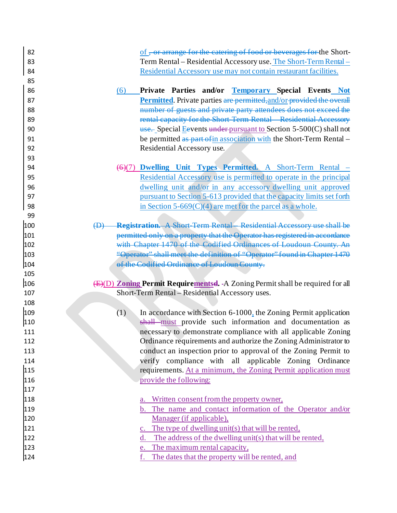|     | of, or arrange for the catering of food or beverages for the Short-                    |
|-----|----------------------------------------------------------------------------------------|
| 83  | Term Rental - Residential Accessory use. The Short-Term Rental -                       |
| 84  | Residential Accessory use may not contain restaurant facilities.                       |
| 85  |                                                                                        |
| 86  | Private Parties and/or Temporary Special Events Not<br>(6)                             |
| 87  | Permitted. Private parties are permitted, and/or-provided the overall                  |
| 88  | number of guests and private party attendees does not exceed the                       |
| 89  | rental capacity for the Short Term Rental Residential Accessory                        |
| 90  | $\frac{1}{2}$ Special Espective subsequently spectrum of Section 5-500(C) shall not    |
| 91  | be permitted as part of in association with the Short-Term Rental –                    |
| 92  | Residential Accessory use.                                                             |
| 93  |                                                                                        |
| 94  | Dwelling Unit Types Permitted. A Short-Term Rental -<br>$\leftrightarrow$ (7)          |
| 95  | Residential Accessory use is permitted to operate in the principal                     |
| 96  | dwelling unit and/or in any accessory dwelling unit approved                           |
| 97  | pursuant to Section 5-613 provided that the capacity limits set forth                  |
| 98  | in Section 5-669 $(C)(4)$ are met for the parcel as a whole.                           |
| 99  |                                                                                        |
| 100 | <b>Registration.</b> A Short Term Rental Residential Accessory use shall be<br>⊕       |
| 101 | permitted only on a property that the Operator has registered in accordance            |
| 102 | with Chapter 1470 of the Codified Ordinances of Loudoun County. An                     |
| 103 | "Operator" shall meet the definition of "Operator" found in Chapter 1470               |
| 104 | of the Codified Ordinance of Loudoun County.                                           |
| 105 |                                                                                        |
| 106 | (E)(D) <b>Zoning Permit Requirementsel.</b> -A Zoning Permit shall be required for all |
|     |                                                                                        |
| 107 | Short-Term Rental - Residential Accessory uses.                                        |
| 108 |                                                                                        |
| 109 | (1)<br>In accordance with Section 6-1000, the Zoning Permit application                |
| 110 | shall must provide such information and documentation as                               |
| 111 | necessary to demonstrate compliance with all applicable Zoning                         |
| 112 | Ordinance requirements and authorize the Zoning Administrator to                       |
| 113 | conduct an inspection prior to approval of the Zoning Permit to                        |
| 114 | verify compliance with all applicable Zoning Ordinance                                 |
| 115 | requirements. At a minimum, the Zoning Permit application must                         |
| 116 | provide the following:                                                                 |
| 117 |                                                                                        |
| 118 | Written consent from the property owner,<br>a.                                         |
| 119 | b. The name and contact information of the Operator and/or                             |
| 120 | Manager (if applicable),                                                               |
| 121 | c. The type of dwelling unit(s) that will be rented,                                   |
| 122 | The address of the dwelling unit(s) that will be rented,<br>d.                         |
| 123 | e. The maximum rental capacity,                                                        |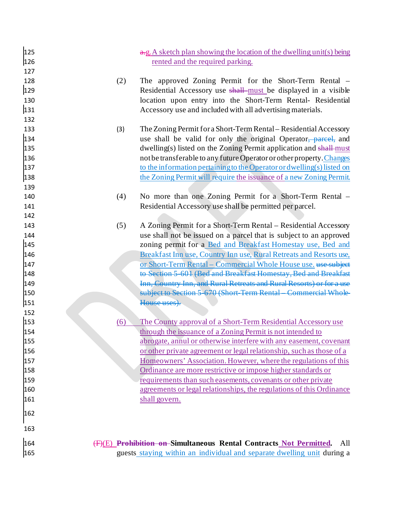| 125<br>126<br>127                                    |     | a.g. A sketch plan showing the location of the dwelling unit(s) being<br>rented and the required parking.                                                                                                                                                                                                                                                                                                                           |
|------------------------------------------------------|-----|-------------------------------------------------------------------------------------------------------------------------------------------------------------------------------------------------------------------------------------------------------------------------------------------------------------------------------------------------------------------------------------------------------------------------------------|
| 128<br>129<br>130<br>131                             | (2) | The approved Zoning Permit for the Short-Term Rental –<br>Residential Accessory use shall-must be displayed in a visible<br>location upon entry into the Short-Term Rental- Residential<br>Accessory use and included with all advertising materials.                                                                                                                                                                               |
| 132<br>133<br>134<br>135<br>136<br>137<br>138<br>139 | (3) | The Zoning Permit for a Short-Term Rental – Residential Accessory<br>use shall be valid for only the original Operator, parcel, and<br>dwelling(s) listed on the Zoning Permit application and shall-must<br>not be transferable to any future Operator or other property. Changes<br>to the information pertaining to the Operator or dwelling(s) listed on<br>the Zoning Permit will require the issuance of a new Zoning Permit. |
| 140                                                  | (4) | No more than one Zoning Permit for a Short-Term Rental –                                                                                                                                                                                                                                                                                                                                                                            |
| 141<br>142                                           |     | Residential Accessory use shall be permitted per parcel.                                                                                                                                                                                                                                                                                                                                                                            |
| 143<br>144<br>145                                    | (5) | A Zoning Permit for a Short-Term Rental – Residential Accessory<br>use shall not be issued on a parcel that is subject to an approved<br>zoning permit for a Bed and Breakfast Homestay use, Bed and                                                                                                                                                                                                                                |
| 146<br>147<br>148                                    |     | Breakfast Inn use, Country Inn use, Rural Retreats and Resorts use,<br>or Short-Term Rental - Commercial Whole House use. use subject<br>to Section 5 601 (Bed and Breakfast Homestay, Bed and Breakfast                                                                                                                                                                                                                            |
| 149<br>150<br>151<br>152                             |     | Inn, Country Inn, and Rural Retreats and Rural Resorts) or for a use<br>subject to Section 5 670 (Short Term Rental Commercial Whole<br>House uses).                                                                                                                                                                                                                                                                                |
| 153                                                  | (6) | The County approval of a Short-Term Residential Accessory use                                                                                                                                                                                                                                                                                                                                                                       |
| 154                                                  |     | through the issuance of a Zoning Permit is not intended to                                                                                                                                                                                                                                                                                                                                                                          |
| 155                                                  |     | abrogate, annul or otherwise interfere with any easement, covenant                                                                                                                                                                                                                                                                                                                                                                  |
| 156                                                  |     | or other private agreement or legal relationship, such as those of a                                                                                                                                                                                                                                                                                                                                                                |
| 157                                                  |     | Homeowners' Association. However, where the regulations of this                                                                                                                                                                                                                                                                                                                                                                     |
| 158                                                  |     | Ordinance are more restrictive or impose higher standards or                                                                                                                                                                                                                                                                                                                                                                        |
| 159                                                  |     | requirements than such easements, covenants or other private                                                                                                                                                                                                                                                                                                                                                                        |
| 160<br>161                                           |     | agreements or legal relationships, the regulations of this Ordinance<br>shall govern.                                                                                                                                                                                                                                                                                                                                               |
|                                                      |     |                                                                                                                                                                                                                                                                                                                                                                                                                                     |
| 162                                                  |     |                                                                                                                                                                                                                                                                                                                                                                                                                                     |
| 163                                                  |     |                                                                                                                                                                                                                                                                                                                                                                                                                                     |
| 164                                                  |     | (F)(E) Prohibition on Simultaneous Rental Contracts Not Permitted.<br>All                                                                                                                                                                                                                                                                                                                                                           |
| 165                                                  |     | guests staying within an individual and separate dwelling unit during a                                                                                                                                                                                                                                                                                                                                                             |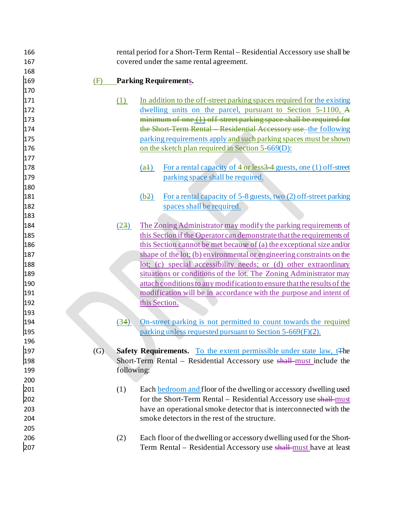| 166 |     |            | rental period for a Short-Term Rental – Residential Accessory use shall be              |
|-----|-----|------------|-----------------------------------------------------------------------------------------|
| 167 |     |            | covered under the same rental agreement.                                                |
| 168 |     |            |                                                                                         |
| 169 | (F) |            | <b>Parking Requirements.</b>                                                            |
| 170 |     |            |                                                                                         |
| 171 |     | (1)        | In addition to the off-street parking spaces required for the existing                  |
| 172 |     |            | dwelling units on the parcel, pursuant to Section 5-1100, A                             |
| 173 |     |            | $minimum of one (1) off street parking space shall be required for$                     |
| 174 |     |            | the Short Term Rental Residential Accessory use-the following                           |
| 175 |     |            | parking requirements apply and such parking spaces must be shown                        |
| 176 |     |            | on the sketch plan required in Section 5-669(D):                                        |
| 177 |     |            |                                                                                         |
| 178 |     |            | For a rental capacity of 4 or less 34 guests, one (1) off-street<br>$(a+)$              |
| 179 |     |            | parking space shall be required.                                                        |
| 180 |     |            |                                                                                         |
| 181 |     |            | For a rental capacity of 5-8 guests, two (2) off-street parking<br>(b2)                 |
| 182 |     |            | spaces shall be required.                                                               |
| 183 |     |            |                                                                                         |
| 184 |     | (23)       | The Zoning Administrator may modify the parking requirements of                         |
| 185 |     |            | this Section if the Operator can demonstrate that the requirements of                   |
| 186 |     |            | <u>this Section cannot be met because of (a) the exceptional size and/or</u>            |
| 187 |     |            | shape of the lot; (b) environmental or engineering constraints on the                   |
| 188 |     |            | lot; (c) special accessibility needs; or (d) other extraordinary                        |
| 189 |     |            | situations or conditions of the lot. The Zoning Administrator may                       |
| 190 |     |            | attach conditions to any modification to ensure that the results of the                 |
| 191 |     |            | modification will be in accordance with the purpose and intent of                       |
| 192 |     |            | this Section.                                                                           |
| 193 |     |            |                                                                                         |
| 194 |     | (34)       | On-street parking is not permitted to count towards the required                        |
| 195 |     |            | parking unless requested pursuant to Section 5-669(F)(2).                               |
| 196 |     |            |                                                                                         |
| 197 | (G) |            | <b>Safety Requirements.</b> To the extent permissible under state law, t <sup>The</sup> |
| 198 |     |            | Short-Term Rental – Residential Accessory use shall-must include the                    |
| 199 |     | following: |                                                                                         |
| 200 |     |            |                                                                                         |
| 201 |     | (1)        | Each bedroom and floor of the dwelling or accessory dwelling used                       |
| 202 |     |            | for the Short-Term Rental – Residential Accessory use shall-must                        |
| 203 |     |            | have an operational smoke detector that is interconnected with the                      |
| 204 |     |            | smoke detectors in the rest of the structure.                                           |
| 205 |     |            |                                                                                         |
| 206 |     | (2)        | Each floor of the dwelling or accessory dwelling used for the Short-                    |
| 207 |     |            | Term Rental – Residential Accessory use shall-must have at least                        |
|     |     |            |                                                                                         |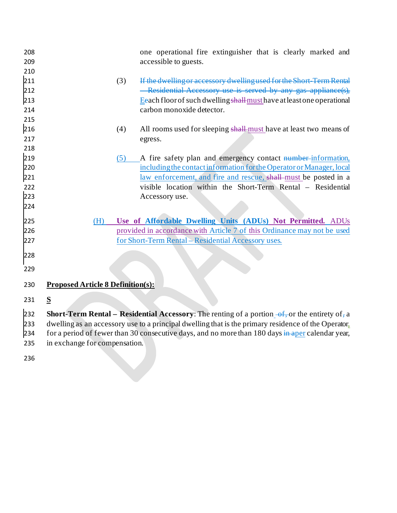| 208 |                                          | one operational fire extinguisher that is clearly marked and                                                      |
|-----|------------------------------------------|-------------------------------------------------------------------------------------------------------------------|
| 209 |                                          | accessible to guests.                                                                                             |
| 210 |                                          |                                                                                                                   |
| 211 | (3)                                      | If the dwelling or accessory dwelling used for the Short-Term Rental                                              |
| 212 |                                          | -Residential Accessory use is served by any gas appliance(s),                                                     |
| 213 |                                          | Eeach floor of such dwelling shall-must have at least one operational                                             |
| 214 |                                          | carbon monoxide detector.                                                                                         |
| 215 |                                          |                                                                                                                   |
| 216 | (4)                                      | All rooms used for sleeping shall-must have at least two means of                                                 |
| 217 |                                          | egress.                                                                                                           |
| 218 |                                          |                                                                                                                   |
| 219 | (5)                                      | A fire safety plan and emergency contact number-information,                                                      |
| 220 |                                          | including the contact information for the Operator or Manager, local                                              |
| 221 |                                          | law enforcement, and fire and rescue, shall-must be posted in a                                                   |
| 222 |                                          | visible location within the Short-Term Rental - Residential                                                       |
| 223 |                                          | Accessory use.                                                                                                    |
| 224 |                                          |                                                                                                                   |
| 225 | (H)                                      | Use of Affordable Dwelling Units (ADUs) Not Permitted. ADUs                                                       |
| 226 |                                          | provided in accordance with Article 7 of this Ordinance may not be used                                           |
| 227 |                                          | for Short-Term Rental – Residential Accessory uses.                                                               |
|     |                                          |                                                                                                                   |
| 228 |                                          |                                                                                                                   |
| 229 |                                          |                                                                                                                   |
| 230 | <b>Proposed Article 8 Definition(s):</b> |                                                                                                                   |
| 231 | S                                        |                                                                                                                   |
| 232 |                                          | <b>Short-Term Rental – Residential Accessory:</b> The renting of a portion- $\frac{1}{2}$ , or the entirety of, a |
| hoo |                                          | dualling as an accessory use to a principal dualling that is the primary residence of the Operator                |

233 dwelling as an accessory use to a principal dwelling that is the primary residence of the Operator<sub>1</sub><br>234 for a period of fewer than 30 consecutive days, and no more than 180 days in aper calendar year,

for a period of fewer than 30 consecutive days, and no more than 180 days in aper calendar year,

in exchange for compensation.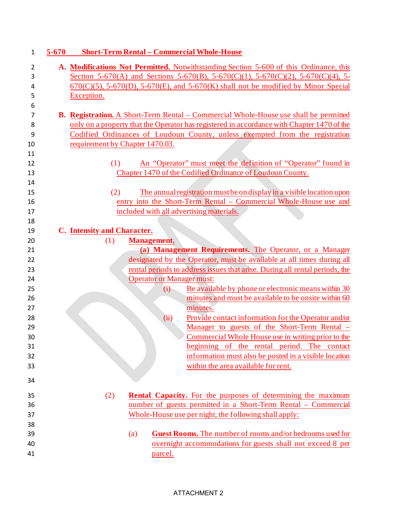| 1        | $5 - 670$ | <b>Short-Term Rental - Commercial Whole-House</b>                                                           |
|----------|-----------|-------------------------------------------------------------------------------------------------------------|
| 2        |           | A. Modifications Not Permitted. Notwithstanding Section 5-600 of this Ordinance, this                       |
| 3        |           | Section 5-670(A) and Sections 5-670(B), 5-670(C)(1), 5-670(C)(2), 5-670(C)(4), 5-                           |
| 4        |           | $670(C)(5)$ , 5-670(D), 5-670(E), and 5-670(K) shall not be modified by Minor Special                       |
| 5        |           | Exception.                                                                                                  |
| 6        |           |                                                                                                             |
| 7        |           | <b>B. Registration.</b> A Short-Term Rental – Commercial Whole-House use shall be permitted                 |
| 8        |           | only on a property that the Operator has registered in accordance with Chapter 1470 of the                  |
| 9        |           | Codified Ordinances of Loudoun County, unless exempted from the registration                                |
| 10       |           | requirement by Chapter 1470.03.                                                                             |
| 11       |           |                                                                                                             |
| 12       |           | An "Operator" must meet the definition of "Operator" found in<br>(1)                                        |
| 13       |           | Chapter 1470 of the Codified Ordinance of Loudoun County.                                                   |
| 14       |           |                                                                                                             |
| 15       |           | The annual registration must be on display in a visible location upon<br>(2)                                |
| 16       |           | entry into the Short-Term Rental - Commercial Whole-House use and                                           |
| 17       |           | included with all advertising materials.                                                                    |
| 18       |           |                                                                                                             |
| 19       |           | C. Intensity and Character.                                                                                 |
| 20       |           | (1)<br><b>Management.</b>                                                                                   |
| 21       |           | (a) Management Requirements. The Operator, or a Manager                                                     |
| 22       |           | designated by the Operator, must be available at all times during all                                       |
| 23       |           | rental periods to address issues that arise. During all rental periods, the                                 |
| 24       |           | <b>Operator or Manager must:</b>                                                                            |
| 25       |           | Be available by phone or electronic means within 30<br>(i)                                                  |
| 26       |           | minutes and must be available to be onsite within 60                                                        |
| 27       |           | minutes.                                                                                                    |
| 28<br>29 |           | Provide contact information for the Operator and/or<br>(ii)<br>Manager to guests of the Short-Term Rental - |
| 30       |           | Commercial Whole House use in writing prior to the                                                          |
| 31       |           | beginning of the rental period. The contact                                                                 |
| 32       |           | information must also be posted in a visible location                                                       |
| 33       |           | within the area available for rent.                                                                         |
|          |           |                                                                                                             |
| 34       |           |                                                                                                             |
| 35       |           | (2)<br><b>Rental Capacity.</b> For the purposes of determining the maximum                                  |
| 36       |           | number of guests permitted in a Short-Term Rental – Commercial                                              |
| 37       |           | Whole-House use per night, the following shall apply:                                                       |
| 38       |           |                                                                                                             |
| 39       |           | Guest Rooms. The number of rooms and/or bedrooms used for<br>(a)                                            |
| 40       |           | overnight accommodations for guests shall not exceed 8 per                                                  |
|          |           |                                                                                                             |

### ATTACHMENT 2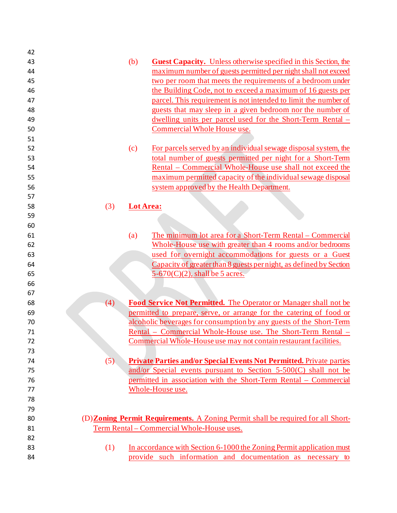| 42 |     |                  |                                                                                         |
|----|-----|------------------|-----------------------------------------------------------------------------------------|
| 43 |     | (b)              | <b>Guest Capacity.</b> Unless otherwise specified in this Section, the                  |
| 44 |     |                  | maximum number of guests permitted per night shall not exceed                           |
| 45 |     |                  | two per room that meets the requirements of a bedroom under                             |
| 46 |     |                  | the Building Code, not to exceed a maximum of 16 guests per                             |
| 47 |     |                  | parcel. This requirement is not intended to limit the number of                         |
| 48 |     |                  | guests that may sleep in a given bedroom nor the number of                              |
| 49 |     |                  | dwelling units per parcel used for the Short-Term Rental –                              |
| 50 |     |                  | Commercial Whole House use.                                                             |
| 51 |     |                  |                                                                                         |
| 52 |     | (c)              | For parcels served by an individual sewage disposal system, the                         |
| 53 |     |                  | total number of guests permitted per night for a Short-Term                             |
| 54 |     |                  | Rental – Commercial Whole-House use shall not exceed the                                |
| 55 |     |                  | maximum permitted capacity of the individual sewage disposal                            |
| 56 |     |                  | system approved by the Health Department.                                               |
| 57 |     |                  |                                                                                         |
| 58 | (3) | <b>Lot Area:</b> |                                                                                         |
| 59 |     |                  |                                                                                         |
| 60 |     |                  |                                                                                         |
| 61 |     | (a)              | The minimum lot area for a Short-Term Rental – Commercial                               |
| 62 |     |                  | Whole-House use with greater than 4 rooms and/or bedrooms                               |
| 63 |     |                  | used for overnight accommodations for guests or a Guest                                 |
| 64 |     |                  | Capacity of greater than 8 guests per night, as defined by Section                      |
| 65 |     |                  | $5-670(C)(2)$ , shall be 5 acres.                                                       |
| 66 |     |                  |                                                                                         |
| 67 |     |                  |                                                                                         |
| 68 | (4) |                  | Food Service Not Permitted. The Operator or Manager shall not be                        |
| 69 |     |                  | permitted to prepare, serve, or arrange for the catering of food or                     |
| 70 |     |                  | alcoholic beverages for consumption by any guests of the Short-Term                     |
| 71 |     |                  | Rental - Commercial Whole-House use. The Short-Term Rental -                            |
| 72 |     |                  | Commercial Whole-House use may not contain restaurant facilities.                       |
| 73 |     |                  |                                                                                         |
| 74 | (5) |                  | <b>Private Parties and/or Special Events Not Permitted.</b> Private parties             |
| 75 |     |                  | and/or Special events pursuant to Section $5-500(C)$ shall not be                       |
| 76 |     |                  | permitted in association with the Short-Term Rental – Commercial                        |
| 77 |     |                  | Whole-House use.                                                                        |
| 78 |     |                  |                                                                                         |
| 79 |     |                  |                                                                                         |
| 80 |     |                  | (D) <b>Zoning Permit Requirements.</b> A Zoning Permit shall be required for all Short- |
| 81 |     |                  | Term Rental - Commercial Whole-House uses.                                              |
| 82 |     |                  |                                                                                         |
| 83 | (1) |                  | In accordance with Section 6-1000 the Zoning Permit application must                    |
| 84 |     |                  | provide such information and documentation as necessary to                              |
|    |     |                  |                                                                                         |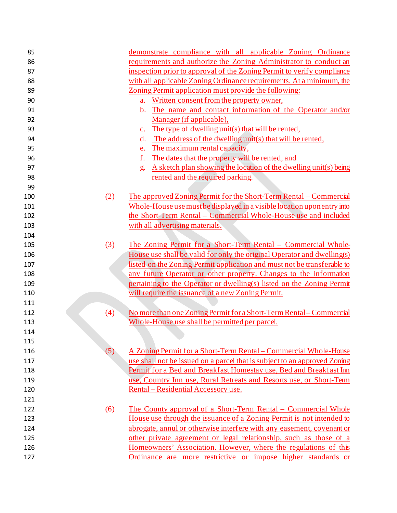| 85  |     | demonstrate compliance with all applicable Zoning Ordinance                |
|-----|-----|----------------------------------------------------------------------------|
| 86  |     | requirements and authorize the Zoning Administrator to conduct an          |
| 87  |     | inspection prior to approval of the Zoning Permit to verify compliance     |
| 88  |     | with all applicable Zoning Ordinance requirements. At a minimum, the       |
| 89  |     | Zoning Permit application must provide the following:                      |
| 90  |     | Written consent from the property owner,<br>a.                             |
| 91  |     | The name and contact information of the Operator and/or<br>$\mathbf{b}$ .  |
| 92  |     | Manager (if applicable),                                                   |
| 93  |     | The type of dwelling unit(s) that will be rented,<br>$\mathbf{c}$ .        |
| 94  |     | The address of the dwelling unit(s) that will be rented,<br>$\mathbf{d}$ . |
| 95  |     | The maximum rental capacity,<br>e.                                         |
| 96  |     | f.<br>The dates that the property will be rented, and                      |
| 97  |     | A sketch plan showing the location of the dwelling unit(s) being<br>g.     |
| 98  |     | rented and the required parking.                                           |
| 99  |     |                                                                            |
| 100 | (2) | The approved Zoning Permit for the Short-Term Rental – Commercial          |
| 101 |     | Whole-House use must be displayed in a visible location uponentry into     |
| 102 |     | the Short-Term Rental - Commercial Whole-House use and included            |
| 103 |     | with all advertising materials.                                            |
| 104 |     |                                                                            |
| 105 | (3) | <u> The Zoning Permit for a Short-Term Rental – Commercial Whole-</u>      |
| 106 |     | House use shall be valid for only the original Operator and dwelling(s)    |
| 107 |     | listed on the Zoning Permit application and must not be transferable to    |
| 108 |     | any future Operator or other property. Changes to the information          |
| 109 |     | pertaining to the Operator or dwelling(s) listed on the Zoning Permit      |
| 110 |     | will require the issuance of a new Zoning Permit.                          |
| 111 |     |                                                                            |
| 112 | (4) | No more than one Zoning Permit for a Short-Term Rental – Commercial        |
| 113 |     | Whole-House use shall be permitted per parcel.                             |
| 114 |     |                                                                            |
| 115 |     |                                                                            |
| 116 | (5) | A Zoning Permit for a Short-Term Rental – Commercial Whole-House           |
| 117 |     | use shall not be issued on a parcel that is subject to an approved Zoning  |
| 118 |     | Permit for a Bed and Breakfast Homestay use, Bed and Breakfast Inn         |
| 119 |     | use, Country Inn use, Rural Retreats and Resorts use, or Short-Term        |
| 120 |     | Rental – Residential Accessory use.                                        |
| 121 |     |                                                                            |
| 122 | (6) | The County approval of a Short-Term Rental – Commercial Whole              |
| 123 |     | House use through the issuance of a Zoning Permit is not intended to       |
| 124 |     | abrogate, annul or otherwise interfere with any easement, covenant or      |
| 125 |     | other private agreement or legal relationship, such as those of a          |
| 126 |     | Homeowners' Association. However, where the regulations of this            |
| 127 |     | Ordinance are more restrictive or impose higher standards or               |
|     |     |                                                                            |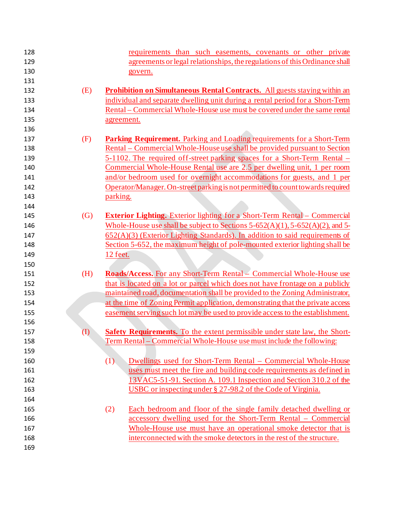| 128        | requirements than such easements, covenants or other private                                   |
|------------|------------------------------------------------------------------------------------------------|
| 129        | agreements or legal relationships, the regulations of this Ordinance shall                     |
| 130        | govern.                                                                                        |
| 131        |                                                                                                |
| 132<br>(E) | <b>Prohibition on Simultaneous Rental Contracts.</b> All guests staying within an              |
| 133        | individual and separate dwelling unit during a rental period for a Short-Term                  |
| 134        | Rental – Commercial Whole-House use must be covered under the same rental                      |
| 135        | agreement.                                                                                     |
| 136        |                                                                                                |
| (F)<br>137 | Parking Requirement. Parking and Loading requirements for a Short-Term                         |
| 138        | <u> Rental – Commercial Whole-House use shall be provided pursuant to Section</u>              |
| 139        | 5-1102. The required off-street parking spaces for a Short-Term Rental –                       |
| 140        | Commercial Whole-House Rental use are 2.5 per dwelling unit, 1 per room                        |
| 141        | and/or bedroom used for overnight accommodations for guests, and 1 per                         |
| 142        | Operator/Manager. On-street parking is not permitted to count towards required                 |
| 143        | parking.                                                                                       |
| 144        |                                                                                                |
| (G)<br>145 | <b>Exterior Lighting.</b> Exterior lighting for a Short-Term Rental – Commercial               |
| 146        | Whole-House use shall be subject to Sections $5-652(A)(1)$ , $5-652(A)(2)$ , and $5-652(A)(2)$ |
| 147        | $652(A)(3)$ (Exterior Lighting Standards). In addition to said requirements of                 |
| 148        | Section 5-652, the maximum height of pole-mounted exterior lighting shall be                   |
| 149        | 12 feet.                                                                                       |
| 150        |                                                                                                |
| (H)<br>151 | Roads/Access. For any Short-Term Rental – Commercial Whole-House use                           |
| 152        | that is located on a lot or parcel which does not have frontage on a publicly                  |
| 153        | maintained road, documentation shall be provided to the Zoning Administrator,                  |
| 154        | at the time of Zoning Permit application, demonstrating that the private access                |
| 155        | easement serving such lot may be used to provide access to the establishment.                  |
| 156        |                                                                                                |
| (I)<br>157 | <b>Safety Requirements.</b> To the extent permissible under state law, the Short-              |
| 158        | Term Rental – Commercial Whole-House use must include the following:                           |
| 159        |                                                                                                |
| 160        | (1)<br>Dwellings used for Short-Term Rental - Commercial Whole-House                           |
| 161        | uses must meet the fire and building code requirements as defined in                           |
| 162        | 13VAC5-51-91. Section A. 109.1 Inspection and Section 310.2 of the                             |
| 163        | USBC or inspecting under § 27-98.2 of the Code of Virginia.                                    |
| 164        |                                                                                                |
| 165        | Each bedroom and floor of the single family detached dwelling or<br>(2)                        |
| 166        | accessory dwelling used for the Short-Term Rental – Commercial                                 |
| 167        | Whole-House use must have an operational smoke detector that is                                |
| 168        | interconnected with the smoke detectors in the rest of the structure.                          |
| 169        |                                                                                                |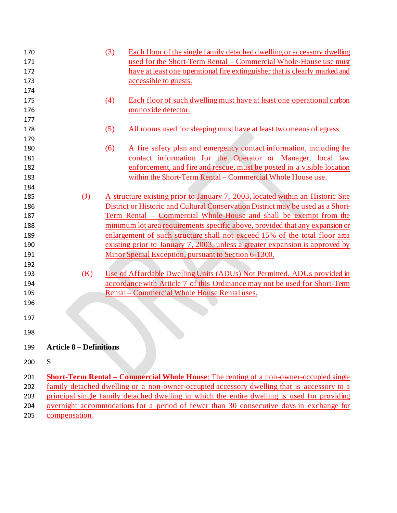| 170<br>171<br>172<br>173        |                                | (3) | Each floor of the single family detached dwelling or accessory dwelling<br>used for the Short-Term Rental – Commercial Whole-House use must<br>have at least one operational fire extinguisher that is clearly marked and<br>accessible to guests.                                                                                                                                     |
|---------------------------------|--------------------------------|-----|----------------------------------------------------------------------------------------------------------------------------------------------------------------------------------------------------------------------------------------------------------------------------------------------------------------------------------------------------------------------------------------|
| 174<br>175<br>176               |                                | (4) | Each floor of such dwelling must have at least one operational carbon<br>monoxide detector.                                                                                                                                                                                                                                                                                            |
| 177<br>178<br>179               |                                | (5) | All rooms used for sleeping must have at least two means of egress.                                                                                                                                                                                                                                                                                                                    |
| 180<br>181<br>182<br>183        |                                | (6) | A fire safety plan and emergency contact information, including the<br>contact information for the Operator or Manager, local law<br>enforcement, and fire and rescue, must be posted in a visible location<br>within the Short-Term Rental - Commercial Whole House use.                                                                                                              |
| 184<br>185<br>186<br>187        | $\mathbf{J}$                   |     | A structure existing prior to January 7, 2003, located within an Historic Site<br>District or Historic and Cultural Conservation District may be used as a Short-<br>Term Rental – Commercial Whole-House and shall be exempt from the                                                                                                                                                 |
| 188<br>189<br>190<br>191        |                                |     | minimum lot area requirements specific above, provided that any expansion or<br>enlargement of such structure shall not exceed 15% of the total floor area<br>existing prior to January 7, 2003, unless a greater expansion is approved by<br>Minor Special Exception, pursuant to Section 6-1300.                                                                                     |
| 192<br>193<br>194<br>195        | (K)                            |     | Use of Affordable Dwelling Units (ADUs) Not Permitted. ADUs provided in<br>accordance with Article 7 of this Ordinance may not be used for Short-Term<br>Rental – Commercial Whole House Rental uses.                                                                                                                                                                                  |
| 196<br>197                      |                                |     |                                                                                                                                                                                                                                                                                                                                                                                        |
| 198                             |                                |     |                                                                                                                                                                                                                                                                                                                                                                                        |
| 199                             | <b>Article 8 – Definitions</b> |     |                                                                                                                                                                                                                                                                                                                                                                                        |
| 200                             | S                              |     |                                                                                                                                                                                                                                                                                                                                                                                        |
| 201<br>202<br>203<br>204<br>205 | compensation.                  |     | <b>Short-Term Rental – Commercial Whole House:</b> The renting of a non-owner-occupied single<br>family detached dwelling or a non-owner-occupied accessory dwelling that is accessory to a<br>principal single family detached dwelling in which the entire dwelling is used for providing<br>overnight accommodations for a period of fewer than 30 consecutive days in exchange for |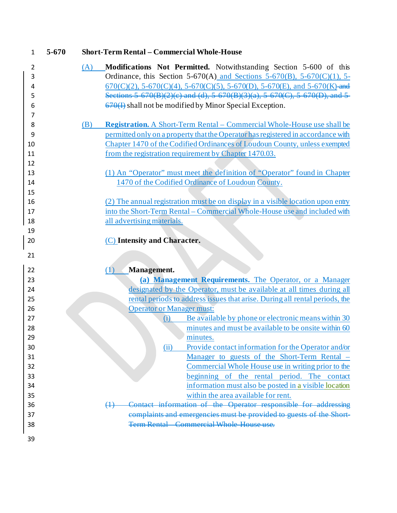| $\mathbf{1}$ | $5 - 670$ |     | <b>Short-Term Rental - Commercial Whole-House</b>                                |
|--------------|-----------|-----|----------------------------------------------------------------------------------|
| 2            |           | (A) | Modifications Not Permitted. Notwithstanding Section 5-600 of this               |
| 3            |           |     | Ordinance, this Section 5-670(A) and Sections 5-670(B), 5-670(C)(1), 5-          |
| 4            |           |     | $670(C)(2)$ , 5-670(C)(4), 5-670(C)(5), 5-670(D), 5-670(E), and 5-670(K)-and     |
| 5            |           |     | Sections 5 670(B)(2)(c) and (d), 5 670(B)(3)(a), 5 670(C), 5 670(D), and 5       |
| 6            |           |     | $\left(\frac{670}{1}\right)$ shall not be modified by Minor Special Exception.   |
| 7            |           |     |                                                                                  |
| 8            |           | (B) | <b>Registration.</b> A Short-Term Rental – Commercial Whole-House use shall be   |
| 9            |           |     | permitted only on a property that the Operator has registered in accordance with |
| 10           |           |     | Chapter 1470 of the Codified Ordinances of Loudoun County, unless exempted       |
| 11           |           |     | from the registration requirement by Chapter 1470.03.                            |
| 12           |           |     |                                                                                  |
| 13           |           |     | (1) An "Operator" must meet the definition of "Operator" found in Chapter        |
| 14           |           |     | 1470 of the Codified Ordinance of Loudoun County.                                |
| 15           |           |     |                                                                                  |
| 16           |           |     | (2) The annual registration must be on display in a visible location upon entry  |
| 17           |           |     | into the Short-Term Rental – Commercial Whole-House use and included with        |
| 18           |           |     | all advertising materials.                                                       |
| 19           |           |     |                                                                                  |
| 20           |           |     | (C) Intensity and Character.                                                     |
| 21           |           |     |                                                                                  |
| 22           |           |     | Management.<br>(1)                                                               |
| 23           |           |     | (a) Management Requirements. The Operator, or a Manager                          |
| 24           |           |     | designated by the Operator, must be available at all times during all            |
| 25           |           |     | rental periods to address issues that arise. During all rental periods, the      |
| 26           |           |     | <b>Operator or Manager must:</b>                                                 |
| 27           |           |     | Be available by phone or electronic means within 30<br>(i)                       |
| 28           |           |     | minutes and must be available to be onsite within 60                             |
| 29           |           |     | minutes.                                                                         |
| 30           |           |     | Provide contact information for the Operator and/or<br>(ii)                      |
| 31           |           |     | Manager to guests of the Short-Term Rental –                                     |
| 32           |           |     | Commercial Whole House use in writing prior to the                               |
| 33           |           |     | beginning of the rental period. The contact                                      |
| 34           |           |     | information must also be posted in a visible location                            |
|              |           |     | within the area available for rent.                                              |
| 35           |           |     |                                                                                  |
| 36           |           |     | information of the Operator responsible for addressing<br>$\leftrightarrow$      |
| 37           |           |     | complaints and emergencies must be provided to guests of the Short-              |
| 38           |           |     | <b>Term Rental</b> Commercial Whole House use.                                   |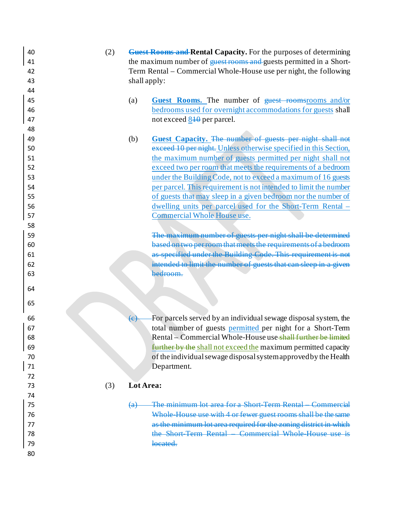- (2) **Guest Rooms and Rental Capacity.** For the purposes of determining 41 the maximum number of <del>quest rooms and</del> guests permitted in a Short- Term Rental – Commercial Whole-House use per night, the following shall apply:
- (a) **Guest Rooms.** The number of guest roomsrooms and/or bedrooms used for overnight accommodations for guests shall 47 not exceed 840 per parcel.
- (b) **Guest Capacity.** The number of guests per night shall not exceed 10 per night. Unless otherwise specified in this Section, the maximum number of guests permitted per night shall not exceed two per room that meets the requirements of a bedroom under the Building Code, not to exceed a maximum of 16 guests per parcel. This requirement is not intended to limit the number of guests that may sleep in a given bedroom nor the number of dwelling units per parcel used for the Short-Term Rental – Commercial Whole House use.

 The maximum number of guests per night shall be determined based on two per room that meets the requirements of a bedroom as specified under the Building Code. This requirement is not intended to limit the number of guests that can sleep in a given bedroom.

 $\left\langle \epsilon \right\rangle$  For parcels served by an individual sewage disposal system, the total number of guests permitted per night for a Short-Term Rental – Commercial Whole-House use shall further be limited further by the shall not exceed the maximum permitted capacity of the individual sewage disposal system approved by the Health Department.

## (3) **Lot Area:**

 (a) The minimum lot area for a Short-Term Rental – Commercial 76 Whole-House use with 4 or fewer guest rooms shall be the **2008** as the minimum lot area required for the zoning district in 78 the Short-Term Rental – Commercial Whole-House is the Short-Term Rental – Commercial Whole-House **located.**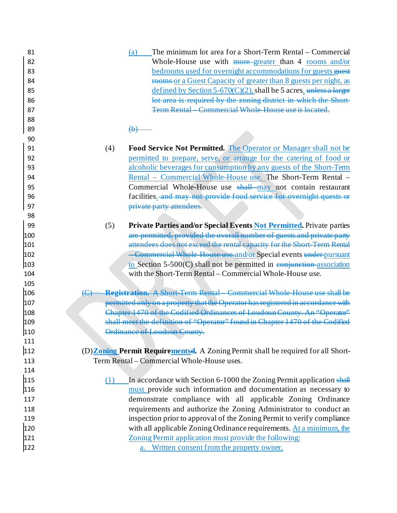| 81<br>82<br>83<br>84<br>85<br>86<br>87 | The minimum lot area for a Short-Term Rental – Commercial<br>(a)<br>Whole-House use with more-greater than 4 rooms and/or<br>bedrooms used for overnight accommodations for guests guest<br>rooms or a Guest Capacity of greater than 8 guests per night, as<br>defined by Section 5-670(C)(2), shall be 5 acres. unless a larger<br>lot area is required by the zoning district in which the Short-<br>Term Rental Commercial Whole House use is located |
|----------------------------------------|-----------------------------------------------------------------------------------------------------------------------------------------------------------------------------------------------------------------------------------------------------------------------------------------------------------------------------------------------------------------------------------------------------------------------------------------------------------|
| 88<br>89                               | H <del>D</del>                                                                                                                                                                                                                                                                                                                                                                                                                                            |
| 90                                     |                                                                                                                                                                                                                                                                                                                                                                                                                                                           |
| 91                                     | Food Service Not Permitted. The Operator or Manager shall not be<br>(4)                                                                                                                                                                                                                                                                                                                                                                                   |
| 92                                     | permitted to prepare, serve, or arrange for the catering of food or                                                                                                                                                                                                                                                                                                                                                                                       |
| 93                                     | alcoholic beverages for consumption by any guests of the Short-Term                                                                                                                                                                                                                                                                                                                                                                                       |
| 94                                     | Rental - Commercial Whole-House use. The Short-Term Rental -                                                                                                                                                                                                                                                                                                                                                                                              |
| 95                                     | Commercial Whole-House use shall may not contain restaurant                                                                                                                                                                                                                                                                                                                                                                                               |
| 96                                     | facilities. and may not provide food service for overnight quests or                                                                                                                                                                                                                                                                                                                                                                                      |
| 97                                     | private party attendees.                                                                                                                                                                                                                                                                                                                                                                                                                                  |
| 98                                     |                                                                                                                                                                                                                                                                                                                                                                                                                                                           |
| 99                                     | Private Parties and/or Special Events Not Permitted. Private parties<br>(5)                                                                                                                                                                                                                                                                                                                                                                               |
| 100                                    | are permitted, provided the overall number of guests and private party                                                                                                                                                                                                                                                                                                                                                                                    |
| 101                                    | attendees does not exceed the rental capacity for the Short Term Rental                                                                                                                                                                                                                                                                                                                                                                                   |
| 102                                    | -Commercial Whole House use and/or Special events under pursuant                                                                                                                                                                                                                                                                                                                                                                                          |
| 103                                    | to Section $5-500(C)$ shall not be permitted in conjunction association                                                                                                                                                                                                                                                                                                                                                                                   |
| 104                                    | with the Short-Term Rental – Commercial Whole-House use.                                                                                                                                                                                                                                                                                                                                                                                                  |
| 105                                    |                                                                                                                                                                                                                                                                                                                                                                                                                                                           |
| 106                                    | <b>Registration.</b> A Short Term Rental Commercial Whole House use shall be                                                                                                                                                                                                                                                                                                                                                                              |
| 107                                    | permitted only on a property that the Operator has registered in accordance with                                                                                                                                                                                                                                                                                                                                                                          |
| 108                                    | Chapter 1470 of the Codified Ordinances of Loudoun County. An "Operator"                                                                                                                                                                                                                                                                                                                                                                                  |
| 109                                    | shall meet the definition of "Operator" found in Chapter 1470 of the Codified                                                                                                                                                                                                                                                                                                                                                                             |
| 110                                    | Ordinance of Loudoun County.                                                                                                                                                                                                                                                                                                                                                                                                                              |
| 111                                    |                                                                                                                                                                                                                                                                                                                                                                                                                                                           |
| 112                                    | (D) <b>Zoning Permit Requirementsel.</b> A Zoning Permit shall be required for all Short-                                                                                                                                                                                                                                                                                                                                                                 |
| 113                                    | Term Rental – Commercial Whole-House uses.                                                                                                                                                                                                                                                                                                                                                                                                                |
| 114                                    |                                                                                                                                                                                                                                                                                                                                                                                                                                                           |
| 115                                    | (1)<br>In accordance with Section 6-1000 the Zoning Permit application shall                                                                                                                                                                                                                                                                                                                                                                              |
| 116                                    | must provide such information and documentation as necessary to                                                                                                                                                                                                                                                                                                                                                                                           |
| 117                                    | demonstrate compliance with all applicable Zoning Ordinance                                                                                                                                                                                                                                                                                                                                                                                               |
| 118                                    | requirements and authorize the Zoning Administrator to conduct an                                                                                                                                                                                                                                                                                                                                                                                         |
| 119                                    | inspection prior to approval of the Zoning Permit to verify compliance                                                                                                                                                                                                                                                                                                                                                                                    |
| 120                                    | with all applicable Zoning Ordinance requirements. At a minimum, the                                                                                                                                                                                                                                                                                                                                                                                      |
| 121                                    | Zoning Permit application must provide the following:                                                                                                                                                                                                                                                                                                                                                                                                     |
|                                        |                                                                                                                                                                                                                                                                                                                                                                                                                                                           |
| 122                                    | a. Written consent from the property owner,                                                                                                                                                                                                                                                                                                                                                                                                               |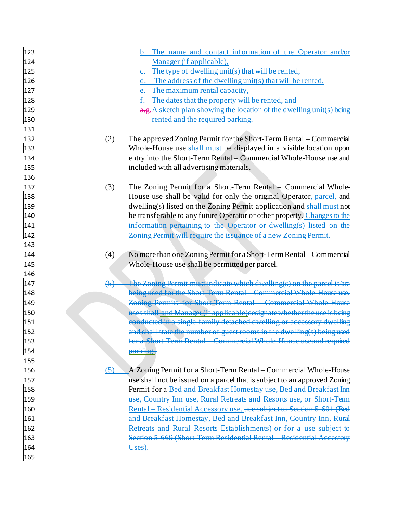| 123 |                   | b. The name and contact information of the Operator and/or                |
|-----|-------------------|---------------------------------------------------------------------------|
| 124 |                   | Manager (if applicable),                                                  |
| 125 |                   | c. The type of dwelling unit(s) that will be rented,                      |
| 126 |                   | d. The address of the dwelling unit(s) that will be rented,               |
| 127 |                   | e. The maximum rental capacity,                                           |
| 128 |                   | The dates that the property will be rented, and<br>f.                     |
| 129 |                   | a.g. A sketch plan showing the location of the dwelling unit(s) being     |
| 130 |                   | rented and the required parking.                                          |
| 131 |                   |                                                                           |
| 132 | (2)               | The approved Zoning Permit for the Short-Term Rental – Commercial         |
| 133 |                   | Whole-House use shall-must be displayed in a visible location upon        |
| 134 |                   | entry into the Short-Term Rental - Commercial Whole-House use and         |
| 135 |                   | included with all advertising materials.                                  |
| 136 |                   |                                                                           |
| 137 | (3)               | The Zoning Permit for a Short-Term Rental – Commercial Whole-             |
| 138 |                   | House use shall be valid for only the original Operator, parcel, and      |
| 139 |                   | dwelling(s) listed on the Zoning Permit application and shall-must not    |
| 140 |                   | be transferable to any future Operator or other property. Changes to the  |
| 141 |                   | information pertaining to the Operator or dwelling(s) listed on the       |
| 142 |                   | Zoning Permit will require the issuance of a new Zoning Permit.           |
| 143 |                   |                                                                           |
| 144 | (4)               | No more than one Zoning Permit for a Short-Term Rental – Commercial       |
| 145 |                   | Whole-House use shall be permitted per parcel.                            |
| 146 |                   |                                                                           |
| 147 | $\left( 5\right)$ | The Zoning Permit must indicate which dwelling(s) on the parcel is/are    |
| 148 |                   | being used for the Short Term Rental Commercial Whole House use           |
| 149 |                   | Zoning Permits for Short Term Rental Commercial Whole House               |
| 150 |                   | uses shall and Manager (if applicable) designate whether the use is being |
| 151 |                   | conducted in a single family detached dwelling or accessory dwelling      |
| 152 |                   | and shall state the number of guest rooms in the dwelling(s) being used   |
| 153 |                   |                                                                           |
| 154 |                   | parking.                                                                  |
| 155 |                   |                                                                           |
| 156 | (5)               | A Zoning Permit for a Short-Term Rental – Commercial Whole-House          |
| 157 |                   | use shall not be issued on a parcel that is subject to an approved Zoning |
| 158 |                   | Permit for a Bed and Breakfast Homestay use, Bed and Breakfast Inn        |
| 159 |                   | use, Country Inn use, Rural Retreats and Resorts use, or Short-Term       |
| 160 |                   | Rental - Residential Accessory use. use subject to Section 5 601 (Bed     |
| 161 |                   | and Breakfast Homestay, Bed and Breakfast Inn, Country Inn, Rural         |
| 162 |                   | Retreats and Rural Resorts Establishments) or for a use subject to        |
| 163 |                   | Section 5 669 (Short Term Residential Rental Residential Accessory        |
| 164 |                   | Uses).                                                                    |
| 165 |                   |                                                                           |
|     |                   |                                                                           |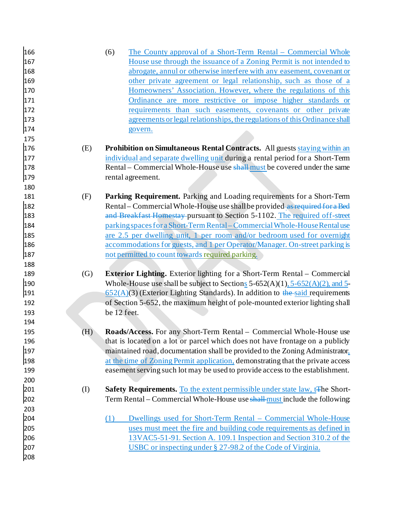| 166 |                   | The County approval of a Short-Term Rental – Commercial Whole<br>(6)                           |
|-----|-------------------|------------------------------------------------------------------------------------------------|
| 167 |                   | House use through the issuance of a Zoning Permit is not intended to                           |
| 168 |                   | abrogate, annul or otherwise interfere with any easement, covenant or                          |
| 169 |                   | other private agreement or legal relationship, such as those of a                              |
| 170 |                   | Homeowners' Association. However, where the regulations of this                                |
| 171 |                   | Ordinance are more restrictive or impose higher standards or                                   |
| 172 |                   | requirements than such easements, covenants or other private                                   |
| 173 |                   | agreements or legal relationships, the regulations of this Ordinance shall                     |
| 174 |                   | govern.                                                                                        |
| 175 |                   |                                                                                                |
| 176 | (E)               | <b>Prohibition on Simultaneous Rental Contracts.</b> All guests staying within an              |
| 177 |                   | individual and separate dwelling unit during a rental period for a Short-Term                  |
| 178 |                   | Rental – Commercial Whole-House use shall-must be covered under the same                       |
| 179 |                   | rental agreement.                                                                              |
| 180 |                   |                                                                                                |
| 181 | (F)               | Parking Requirement. Parking and Loading requirements for a Short-Term                         |
| 182 |                   | Rental – Commercial Whole-House use shall be provided-as required for a Bed                    |
| 183 |                   | and Breakfast Homestay pursuant to Section 5-1102. The required off-street                     |
| 184 |                   | parking spaces for a Short-Term Rental – Commercial Whole-House Rental use                     |
| 185 |                   | are 2.5 per dwelling unit, 1 per room and/or bedroom used for overnight                        |
| 186 |                   | <u>accommodations for guests, and 1 per Operator/Manager. On-street parking is</u>             |
| 187 |                   | not permitted to count towards required parking.                                               |
| 188 |                   |                                                                                                |
| 189 | $\left( G\right)$ | Exterior Lighting. Exterior lighting for a Short-Term Rental - Commercial                      |
| 190 |                   | Whole-House use shall be subject to Sections $5-652(A)(1)$ , $5-652(A)(2)$ , and $5-652(A)(2)$ |
| 191 |                   | $652(A)(3)$ (Exterior Lighting Standards). In addition to the said requirements                |
| 192 |                   | of Section 5-652, the maximum height of pole-mounted exterior lighting shall                   |
| 193 |                   | be 12 feet.                                                                                    |
| 194 |                   |                                                                                                |
| 195 | (H)               | Roads/Access. For any Short-Term Rental – Commercial Whole-House use                           |
| 196 |                   | that is located on a lot or parcel which does not have frontage on a publicly                  |
| 197 |                   | maintained road, documentation shall be provided to the Zoning Administrator,                  |
| 198 |                   | at the time of Zoning Permit application, demonstrating that the private access                |
| 199 |                   | easement serving such lot may be used to provide access to the establishment.                  |
| 200 |                   |                                                                                                |
| 201 | (I)               | Safety Requirements. To the extent permissible under state law, t <sub>The</sub> Short-        |
| 202 |                   | Term Rental – Commercial Whole-House use shall-must include the following:                     |
| 203 |                   |                                                                                                |
| 204 |                   | Dwellings used for Short-Term Rental – Commercial Whole-House<br>(1)                           |
| 205 |                   | uses must meet the fire and building code requirements as defined in                           |
| 206 |                   | 13VAC5-51-91. Section A. 109.1 Inspection and Section 310.2 of the                             |
| 207 |                   | USBC or inspecting under § 27-98.2 of the Code of Virginia.                                    |
| 208 |                   |                                                                                                |
|     |                   |                                                                                                |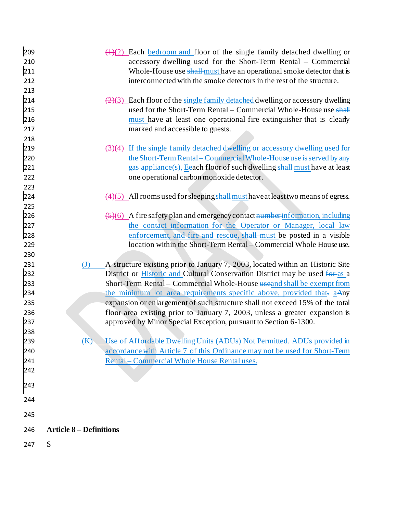| 209 | $\left(\frac{1}{2}\right)$ Each bedroom and floor of the single family detached dwelling or          |
|-----|------------------------------------------------------------------------------------------------------|
| 210 | accessory dwelling used for the Short-Term Rental - Commercial                                       |
| 211 | Whole-House use shall-must have an operational smoke detector that is                                |
| 212 | interconnected with the smoke detectors in the rest of the structure.                                |
| 213 |                                                                                                      |
| 214 | $\left(\frac{2}{3}\right)$ Each floor of the single family detached dwelling or accessory dwelling   |
| 215 | used for the Short-Term Rental – Commercial Whole-House use shall                                    |
| 216 | must have at least one operational fire extinguisher that is clearly                                 |
| 217 | marked and accessible to guests.                                                                     |
| 218 |                                                                                                      |
| 219 | (3)(4)_If the single family detached dwelling or accessory dwelling use                              |
| 220 | the Short Term Rental Commercial Whole House use is served by any                                    |
| 221 | gas appliance(s), Eeach floor of such dwelling shall-must have at least                              |
| 222 | one operational carbon monoxide detector.                                                            |
| 223 |                                                                                                      |
| 224 | $\left(\frac{4}{5}\right)$ All rooms used for sleeping shall must have at least two means of egress. |
| 225 |                                                                                                      |
| 226 | $\left(\frac{5}{6}\right)$ A fire safety plan and emergency contact number information, including    |
| 227 | the contact information for the Operator or Manager, local law                                       |
| 228 | enforcement, and fire and rescue, shall-must be posted in a visible                                  |
| 229 | location within the Short-Term Rental – Commercial Whole House use.                                  |
| 230 |                                                                                                      |
| 231 | A structure existing prior to January 7, 2003, located within an Historic Site<br>$\mathrm{J}$       |
| 232 | District or <b>Historic and Cultural Conservation District may be used for as a</b>                  |
| 233 | Short-Term Rental - Commercial Whole-House useand shall be exempt from                               |
| 234 | the minimum lot area requirements specific above, provided that- aAny                                |
| 235 | expansion or enlargement of such structure shall not exceed 15% of the total                         |
| 236 | floor area existing prior to January 7, 2003, unless a greater expansion is                          |
| 237 | approved by Minor Special Exception, pursuant to Section 6-1300.                                     |
| 238 |                                                                                                      |
| 239 | Use of Affordable Dwelling Units (ADUs) Not Permitted. ADUs provided in<br>(K)                       |
| 240 | accordance with Article 7 of this Ordinance may not be used for Short-Term                           |
| 241 | Rental - Commercial Whole House Rental uses.                                                         |
| 242 |                                                                                                      |
|     |                                                                                                      |
| 243 |                                                                                                      |
| 244 |                                                                                                      |
|     |                                                                                                      |
| 245 |                                                                                                      |
| 246 | <b>Article 8 - Definitions</b>                                                                       |
| 247 | S                                                                                                    |